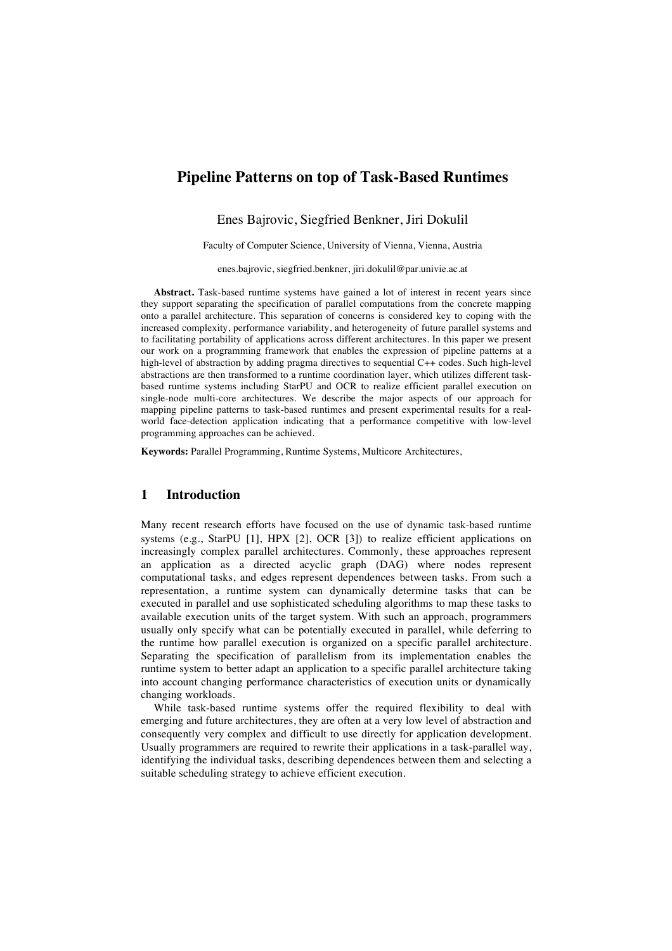# **Pipeline Patterns on top of Task-Based Runtimes**

Enes Bajrovic, Siegfried Benkner, Jiri Dokulil

Faculty of Computer Science, University of Vienna, Vienna, Austria

enes.bajrovic, siegfried.benkner, jiri.dokulil@par.univie.ac.at

**Abstract.** Task-based runtime systems have gained a lot of interest in recent years since they support separating the specification of parallel computations from the concrete mapping onto a parallel architecture. This separation of concerns is considered key to coping with the increased complexity, performance variability, and heterogeneity of future parallel systems and to facilitating portability of applications across different architectures. In this paper we present our work on a programming framework that enables the expression of pipeline patterns at a high-level of abstraction by adding pragma directives to sequential C++ codes. Such high-level abstractions are then transformed to a runtime coordination layer, which utilizes different taskbased runtime systems including StarPU and OCR to realize efficient parallel execution on single-node multi-core architectures. We describe the major aspects of our approach for mapping pipeline patterns to task-based runtimes and present experimental results for a realworld face-detection application indicating that a performance competitive with low-level programming approaches can be achieved.

**Keywords:** Parallel Programming, Runtime Systems, Multicore Architectures,

# **1 Introduction**

Many recent research efforts have focused on the use of dynamic task-based runtime systems (e.g., StarPU  $[1]$ , HPX  $[2]$ , OCR  $[3]$ ) to realize efficient applications on increasingly complex parallel architectures. Commonly, these approaches represent an application as a directed acyclic graph (DAG) where nodes represent computational tasks, and edges represent dependences between tasks. From such a representation, a runtime system can dynamically determine tasks that can be executed in parallel and use sophisticated scheduling algorithms to map these tasks to available execution units of the target system. With such an approach, programmers usually only specify what can be potentially executed in parallel, while deferring to the runtime how parallel execution is organized on a specific parallel architecture. Separating the specification of parallelism from its implementation enables the runtime system to better adapt an application to a specific parallel architecture taking into account changing performance characteristics of execution units or dynamically changing workloads.

While task-based runtime systems offer the required flexibility to deal with emerging and future architectures, they are often at a very low level of abstraction and consequently very complex and difficult to use directly for application development. Usually programmers are required to rewrite their applications in a task-parallel way, identifying the individual tasks, describing dependences between them and selecting a suitable scheduling strategy to achieve efficient execution.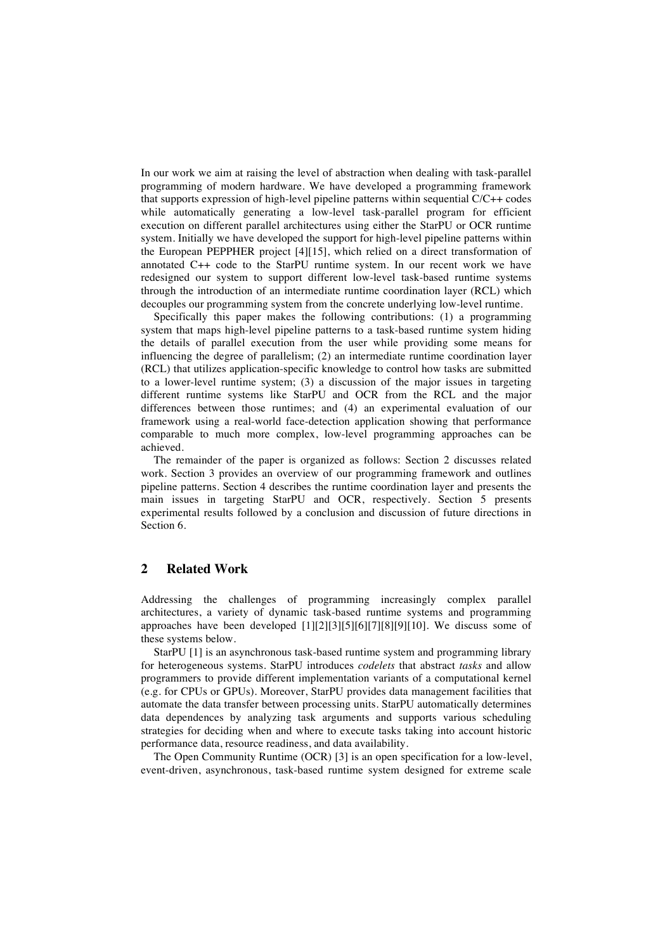In our work we aim at raising the level of abstraction when dealing with task-parallel programming of modern hardware. We have developed a programming framework that supports expression of high-level pipeline patterns within sequential C/C++ codes while automatically generating a low-level task-parallel program for efficient execution on different parallel architectures using either the StarPU or OCR runtime system. Initially we have developed the support for high-level pipeline patterns within the European PEPPHER project [4][15], which relied on a direct transformation of annotated C++ code to the StarPU runtime system. In our recent work we have redesigned our system to support different low-level task-based runtime systems through the introduction of an intermediate runtime coordination layer (RCL) which decouples our programming system from the concrete underlying low-level runtime.

Specifically this paper makes the following contributions: (1) a programming system that maps high-level pipeline patterns to a task-based runtime system hiding the details of parallel execution from the user while providing some means for influencing the degree of parallelism; (2) an intermediate runtime coordination layer (RCL) that utilizes application-specific knowledge to control how tasks are submitted to a lower-level runtime system; (3) a discussion of the major issues in targeting different runtime systems like StarPU and OCR from the RCL and the major differences between those runtimes; and (4) an experimental evaluation of our framework using a real-world face-detection application showing that performance comparable to much more complex, low-level programming approaches can be achieved.

The remainder of the paper is organized as follows: Section 2 discusses related work. Section 3 provides an overview of our programming framework and outlines pipeline patterns. Section 4 describes the runtime coordination layer and presents the main issues in targeting StarPU and OCR, respectively. Section 5 presents experimental results followed by a conclusion and discussion of future directions in Section 6.

## **2 Related Work**

Addressing the challenges of programming increasingly complex parallel architectures, a variety of dynamic task-based runtime systems and programming approaches have been developed [1][2][3][5][6][7][8][9][10]. We discuss some of these systems below.

StarPU [1] is an asynchronous task-based runtime system and programming library for heterogeneous systems. StarPU introduces *codelets* that abstract *tasks* and allow programmers to provide different implementation variants of a computational kernel (e.g. for CPUs or GPUs). Moreover, StarPU provides data management facilities that automate the data transfer between processing units. StarPU automatically determines data dependences by analyzing task arguments and supports various scheduling strategies for deciding when and where to execute tasks taking into account historic performance data, resource readiness, and data availability.

The Open Community Runtime (OCR) [3] is an open specification for a low-level, event-driven, asynchronous, task-based runtime system designed for extreme scale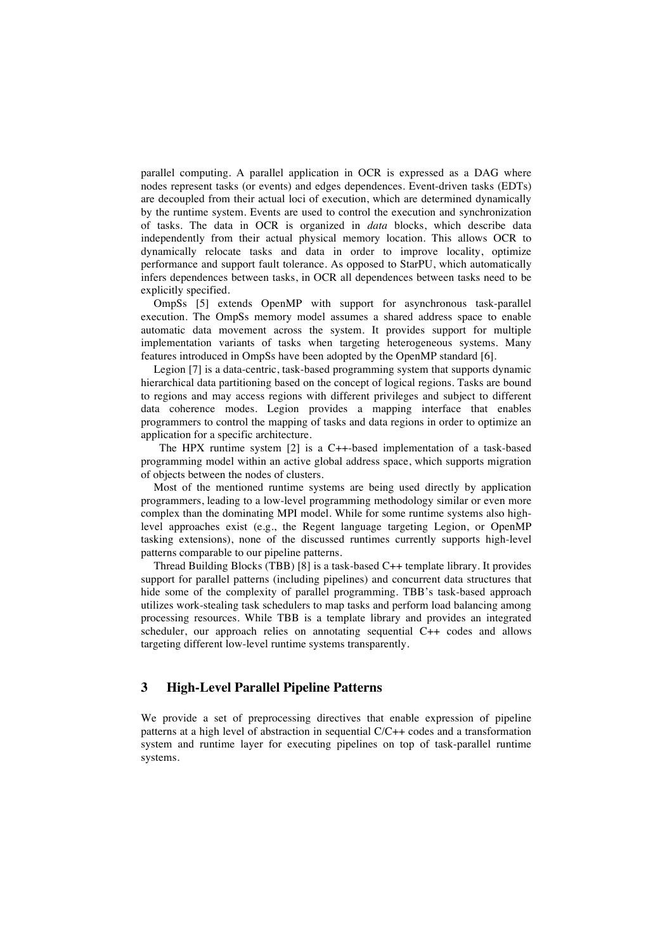parallel computing. A parallel application in OCR is expressed as a DAG where nodes represent tasks (or events) and edges dependences. Event-driven tasks (EDTs) are decoupled from their actual loci of execution, which are determined dynamically by the runtime system. Events are used to control the execution and synchronization of tasks. The data in OCR is organized in *data* blocks, which describe data independently from their actual physical memory location. This allows OCR to dynamically relocate tasks and data in order to improve locality, optimize performance and support fault tolerance. As opposed to StarPU, which automatically infers dependences between tasks, in OCR all dependences between tasks need to be explicitly specified.

OmpSs [5] extends OpenMP with support for asynchronous task-parallel execution. The OmpSs memory model assumes a shared address space to enable automatic data movement across the system. It provides support for multiple implementation variants of tasks when targeting heterogeneous systems. Many features introduced in OmpSs have been adopted by the OpenMP standard [6].

Legion [7] is a data-centric, task-based programming system that supports dynamic hierarchical data partitioning based on the concept of logical regions. Tasks are bound to regions and may access regions with different privileges and subject to different data coherence modes. Legion provides a mapping interface that enables programmers to control the mapping of tasks and data regions in order to optimize an application for a specific architecture.

The HPX runtime system  $[2]$  is a C++-based implementation of a task-based programming model within an active global address space, which supports migration of objects between the nodes of clusters.

Most of the mentioned runtime systems are being used directly by application programmers, leading to a low-level programming methodology similar or even more complex than the dominating MPI model. While for some runtime systems also highlevel approaches exist (e.g., the Regent language targeting Legion, or OpenMP tasking extensions), none of the discussed runtimes currently supports high-level patterns comparable to our pipeline patterns.

Thread Building Blocks (TBB) [8] is a task-based C++ template library. It provides support for parallel patterns (including pipelines) and concurrent data structures that hide some of the complexity of parallel programming. TBB's task-based approach utilizes work-stealing task schedulers to map tasks and perform load balancing among processing resources. While TBB is a template library and provides an integrated scheduler, our approach relies on annotating sequential C++ codes and allows targeting different low-level runtime systems transparently.

# **3 High-Level Parallel Pipeline Patterns**

We provide a set of preprocessing directives that enable expression of pipeline patterns at a high level of abstraction in sequential C/C++ codes and a transformation system and runtime layer for executing pipelines on top of task-parallel runtime systems.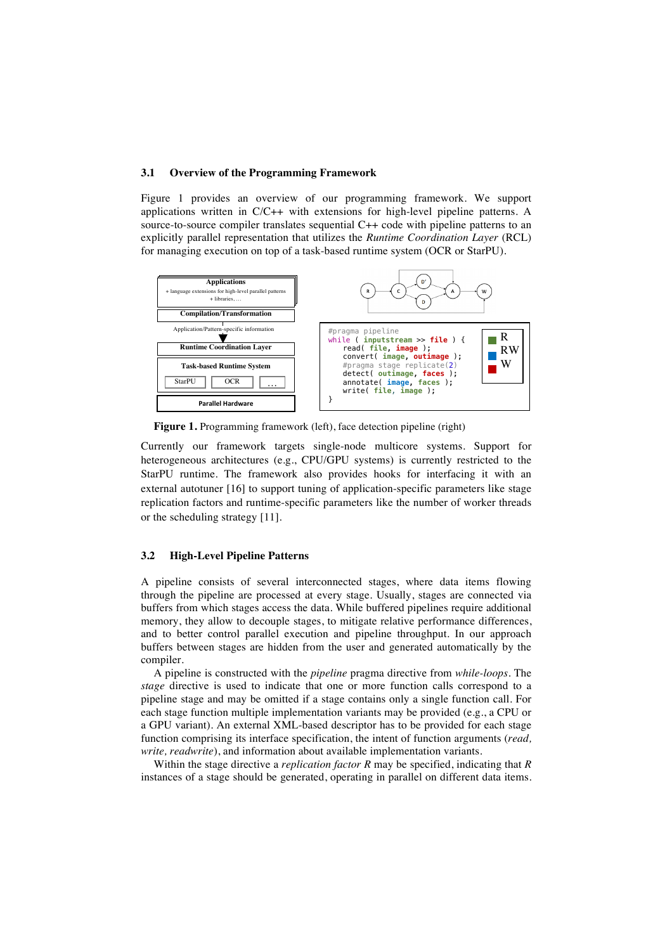#### **3.1 Overview of the Programming Framework**

Figure 1 provides an overview of our programming framework. We support applications written in C/C++ with extensions for high-level pipeline patterns. A source-to-source compiler translates sequential C++ code with pipeline patterns to an explicitly parallel representation that utilizes the *Runtime Coordination Layer* (RCL) for managing execution on top of a task-based runtime system (OCR or StarPU).



Figure 1. Programming framework (left), face detection pipeline (right)

Currently our framework targets single-node multicore systems. Support for heterogeneous architectures (e.g., CPU/GPU systems) is currently restricted to the StarPU runtime. The framework also provides hooks for interfacing it with an external autotuner [16] to support tuning of application-specific parameters like stage replication factors and runtime-specific parameters like the number of worker threads or the scheduling strategy [11].

### **3.2 High-Level Pipeline Patterns**

A pipeline consists of several interconnected stages, where data items flowing through the pipeline are processed at every stage. Usually, stages are connected via buffers from which stages access the data. While buffered pipelines require additional memory, they allow to decouple stages, to mitigate relative performance differences, and to better control parallel execution and pipeline throughput. In our approach buffers between stages are hidden from the user and generated automatically by the compiler.

A pipeline is constructed with the *pipeline* pragma directive from *while-loops.* The *stage* directive is used to indicate that one or more function calls correspond to a pipeline stage and may be omitted if a stage contains only a single function call. For each stage function multiple implementation variants may be provided (e.g., a CPU or a GPU variant). An external XML-based descriptor has to be provided for each stage function comprising its interface specification, the intent of function arguments (*read, write, readwrite*), and information about available implementation variants.

Within the stage directive a *replication factor R* may be specified, indicating that *R* instances of a stage should be generated, operating in parallel on different data items.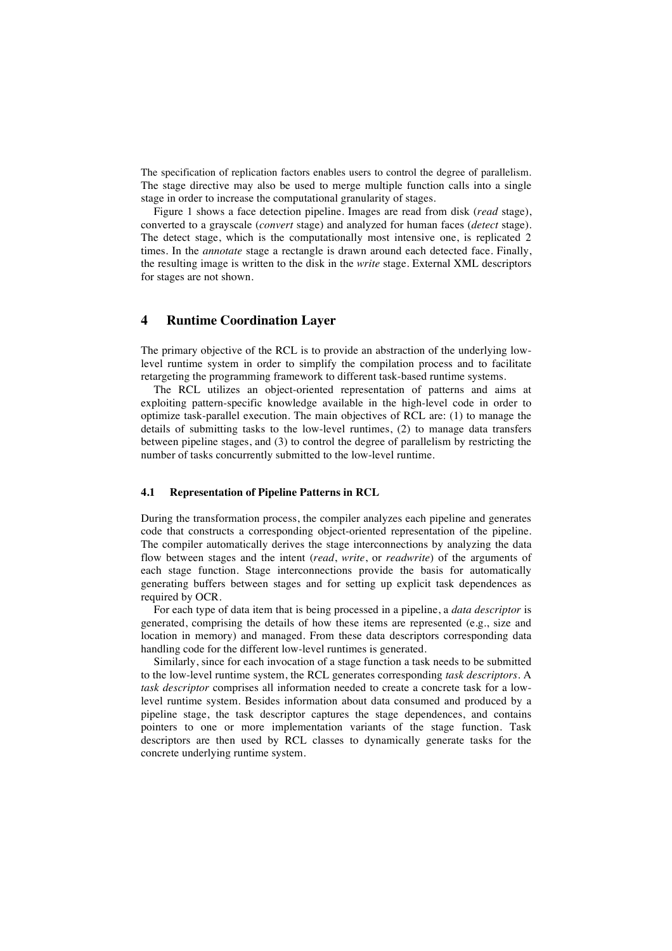The specification of replication factors enables users to control the degree of parallelism. The stage directive may also be used to merge multiple function calls into a single stage in order to increase the computational granularity of stages.

Figure 1 shows a face detection pipeline. Images are read from disk (*read* stage), converted to a grayscale (*convert* stage) and analyzed for human faces (*detect* stage). The detect stage, which is the computationally most intensive one, is replicated 2 times. In the *annotate* stage a rectangle is drawn around each detected face. Finally, the resulting image is written to the disk in the *write* stage. External XML descriptors for stages are not shown.

## **4 Runtime Coordination Layer**

The primary objective of the RCL is to provide an abstraction of the underlying lowlevel runtime system in order to simplify the compilation process and to facilitate retargeting the programming framework to different task-based runtime systems.

The RCL utilizes an object-oriented representation of patterns and aims at exploiting pattern-specific knowledge available in the high-level code in order to optimize task-parallel execution. The main objectives of RCL are: (1) to manage the details of submitting tasks to the low-level runtimes, (2) to manage data transfers between pipeline stages, and (3) to control the degree of parallelism by restricting the number of tasks concurrently submitted to the low-level runtime.

### **4.1 Representation of Pipeline Patterns in RCL**

During the transformation process, the compiler analyzes each pipeline and generates code that constructs a corresponding object-oriented representation of the pipeline. The compiler automatically derives the stage interconnections by analyzing the data flow between stages and the intent (*read*, *write*, or *readwrite*) of the arguments of each stage function. Stage interconnections provide the basis for automatically generating buffers between stages and for setting up explicit task dependences as required by OCR.

For each type of data item that is being processed in a pipeline, a *data descriptor* is generated, comprising the details of how these items are represented (e.g., size and location in memory) and managed. From these data descriptors corresponding data handling code for the different low-level runtimes is generated.

Similarly, since for each invocation of a stage function a task needs to be submitted to the low-level runtime system, the RCL generates corresponding *task descriptors*. A *task descriptor* comprises all information needed to create a concrete task for a lowlevel runtime system. Besides information about data consumed and produced by a pipeline stage, the task descriptor captures the stage dependences, and contains pointers to one or more implementation variants of the stage function. Task descriptors are then used by RCL classes to dynamically generate tasks for the concrete underlying runtime system.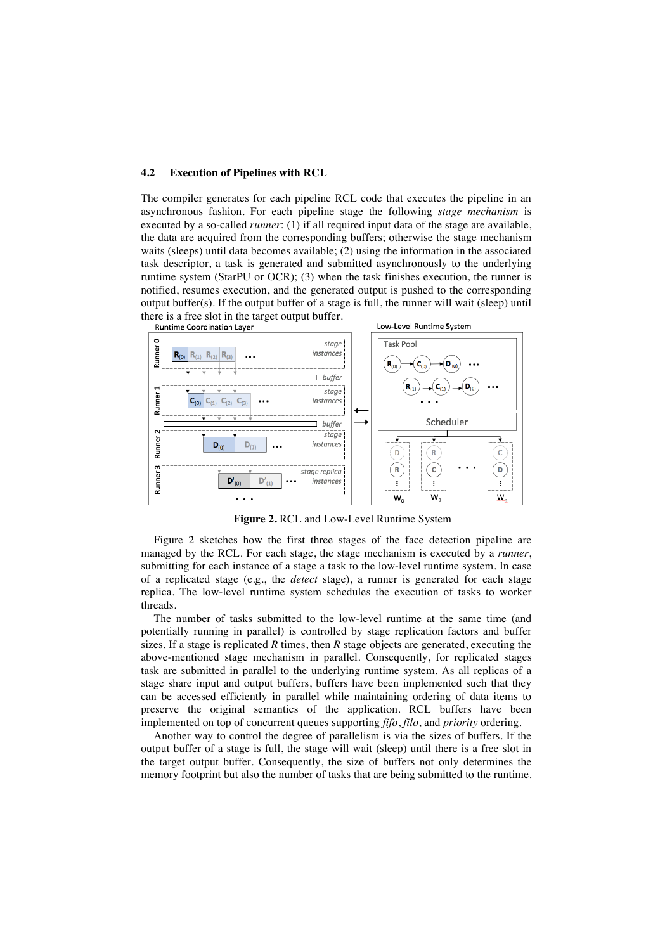#### **4.2 Execution of Pipelines with RCL**

The compiler generates for each pipeline RCL code that executes the pipeline in an asynchronous fashion. For each pipeline stage the following *stage mechanism* is executed by a so-called *runner*: (1) if all required input data of the stage are available, the data are acquired from the corresponding buffers; otherwise the stage mechanism waits (sleeps) until data becomes available; (2) using the information in the associated task descriptor, a task is generated and submitted asynchronously to the underlying runtime system (StarPU or OCR); (3) when the task finishes execution, the runner is notified, resumes execution, and the generated output is pushed to the corresponding output buffer(s). If the output buffer of a stage is full, the runner will wait (sleep) until



**Figure 2.** RCL and Low-Level Runtime System

Figure 2 sketches how the first three stages of the face detection pipeline are managed by the RCL. For each stage, the stage mechanism is executed by a *runner*, submitting for each instance of a stage a task to the low-level runtime system. In case of a replicated stage (e.g., the *detect* stage), a runner is generated for each stage replica. The low-level runtime system schedules the execution of tasks to worker threads.

The number of tasks submitted to the low-level runtime at the same time (and potentially running in parallel) is controlled by stage replication factors and buffer sizes. If a stage is replicated *R* times, then *R* stage objects are generated, executing the above-mentioned stage mechanism in parallel. Consequently, for replicated stages task are submitted in parallel to the underlying runtime system. As all replicas of a stage share input and output buffers, buffers have been implemented such that they can be accessed efficiently in parallel while maintaining ordering of data items to preserve the original semantics of the application. RCL buffers have been implemented on top of concurrent queues supporting *fifo*, *filo*, and *priority* ordering.

Another way to control the degree of parallelism is via the sizes of buffers. If the output buffer of a stage is full, the stage will wait (sleep) until there is a free slot in the target output buffer. Consequently, the size of buffers not only determines the memory footprint but also the number of tasks that are being submitted to the runtime.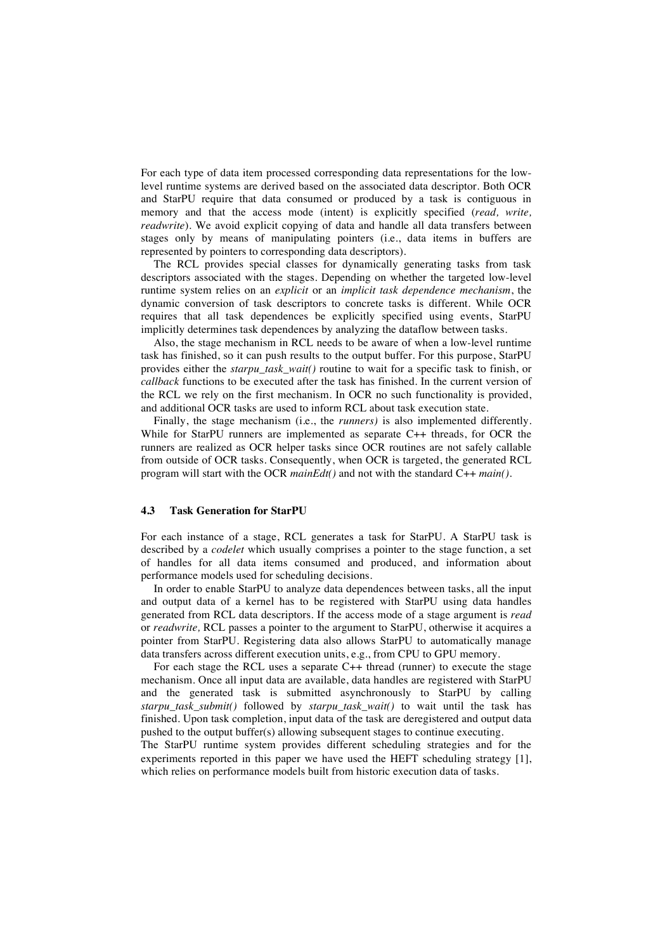For each type of data item processed corresponding data representations for the lowlevel runtime systems are derived based on the associated data descriptor. Both OCR and StarPU require that data consumed or produced by a task is contiguous in memory and that the access mode (intent) is explicitly specified (*read, write, readwrite*). We avoid explicit copying of data and handle all data transfers between stages only by means of manipulating pointers (i.e., data items in buffers are represented by pointers to corresponding data descriptors).

The RCL provides special classes for dynamically generating tasks from task descriptors associated with the stages. Depending on whether the targeted low-level runtime system relies on an *explicit* or an *implicit task dependence mechanism*, the dynamic conversion of task descriptors to concrete tasks is different. While OCR requires that all task dependences be explicitly specified using events, StarPU implicitly determines task dependences by analyzing the dataflow between tasks.

Also, the stage mechanism in RCL needs to be aware of when a low-level runtime task has finished, so it can push results to the output buffer. For this purpose, StarPU provides either the *starpu\_task\_wait()* routine to wait for a specific task to finish, or *callback* functions to be executed after the task has finished. In the current version of the RCL we rely on the first mechanism. In OCR no such functionality is provided, and additional OCR tasks are used to inform RCL about task execution state.

Finally, the stage mechanism (i.e., the *runners)* is also implemented differently. While for StarPU runners are implemented as separate C++ threads, for OCR the runners are realized as OCR helper tasks since OCR routines are not safely callable from outside of OCR tasks. Consequently, when OCR is targeted, the generated RCL program will start with the OCR *mainEdt()* and not with the standard C++ *main()*.

### **4.3 Task Generation for StarPU**

For each instance of a stage, RCL generates a task for StarPU. A StarPU task is described by a *codelet* which usually comprises a pointer to the stage function, a set of handles for all data items consumed and produced, and information about performance models used for scheduling decisions.

In order to enable StarPU to analyze data dependences between tasks, all the input and output data of a kernel has to be registered with StarPU using data handles generated from RCL data descriptors. If the access mode of a stage argument is *read* or *readwrite,* RCL passes a pointer to the argument to StarPU, otherwise it acquires a pointer from StarPU. Registering data also allows StarPU to automatically manage data transfers across different execution units, e.g., from CPU to GPU memory.

For each stage the RCL uses a separate C++ thread (runner) to execute the stage mechanism. Once all input data are available, data handles are registered with StarPU and the generated task is submitted asynchronously to StarPU by calling *starpu\_task\_submit()* followed by *starpu\_task\_wait()* to wait until the task has finished. Upon task completion, input data of the task are deregistered and output data pushed to the output buffer(s) allowing subsequent stages to continue executing.

The StarPU runtime system provides different scheduling strategies and for the experiments reported in this paper we have used the HEFT scheduling strategy [1], which relies on performance models built from historic execution data of tasks.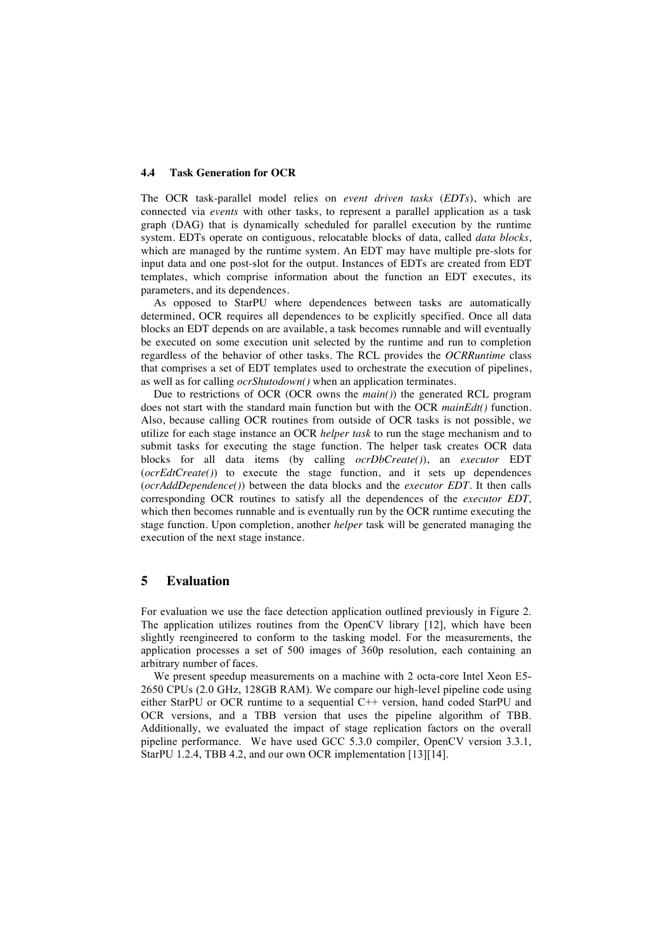### **4.4 Task Generation for OCR**

The OCR task-parallel model relies on *event driven tasks* (*EDTs*), which are connected via *events* with other tasks, to represent a parallel application as a task graph (DAG) that is dynamically scheduled for parallel execution by the runtime system. EDTs operate on contiguous, relocatable blocks of data, called *data blocks*, which are managed by the runtime system. An EDT may have multiple pre-slots for input data and one post-slot for the output. Instances of EDTs are created from EDT templates, which comprise information about the function an EDT executes, its parameters, and its dependences.

As opposed to StarPU where dependences between tasks are automatically determined, OCR requires all dependences to be explicitly specified. Once all data blocks an EDT depends on are available, a task becomes runnable and will eventually be executed on some execution unit selected by the runtime and run to completion regardless of the behavior of other tasks. The RCL provides the *OCRRuntime* class that comprises a set of EDT templates used to orchestrate the execution of pipelines, as well as for calling *ocrShutodown()* when an application terminates.

Due to restrictions of OCR (OCR owns the *main()*) the generated RCL program does not start with the standard main function but with the OCR *mainEdt()* function. Also, because calling OCR routines from outside of OCR tasks is not possible, we utilize for each stage instance an OCR *helper task* to run the stage mechanism and to submit tasks for executing the stage function. The helper task creates OCR data blocks for all data items (by calling *ocrDbCreate()*), an *executor* EDT (*ocrEdtCreate()*) to execute the stage function, and it sets up dependences (*ocrAddDependence()*) between the data blocks and the *executor EDT*. It then calls corresponding OCR routines to satisfy all the dependences of the *executor EDT,*  which then becomes runnable and is eventually run by the OCR runtime executing the stage function. Upon completion, another *helper* task will be generated managing the execution of the next stage instance.

### **5 Evaluation**

For evaluation we use the face detection application outlined previously in Figure 2. The application utilizes routines from the OpenCV library [12], which have been slightly reengineered to conform to the tasking model. For the measurements, the application processes a set of 500 images of 360p resolution, each containing an arbitrary number of faces.

We present speedup measurements on a machine with 2 octa-core Intel Xeon E5- 2650 CPUs (2.0 GHz, 128GB RAM). We compare our high-level pipeline code using either StarPU or OCR runtime to a sequential C++ version, hand coded StarPU and OCR versions, and a TBB version that uses the pipeline algorithm of TBB. Additionally, we evaluated the impact of stage replication factors on the overall pipeline performance. We have used GCC 5.3.0 compiler, OpenCV version 3.3.1, StarPU 1.2.4, TBB 4.2, and our own OCR implementation [13][14].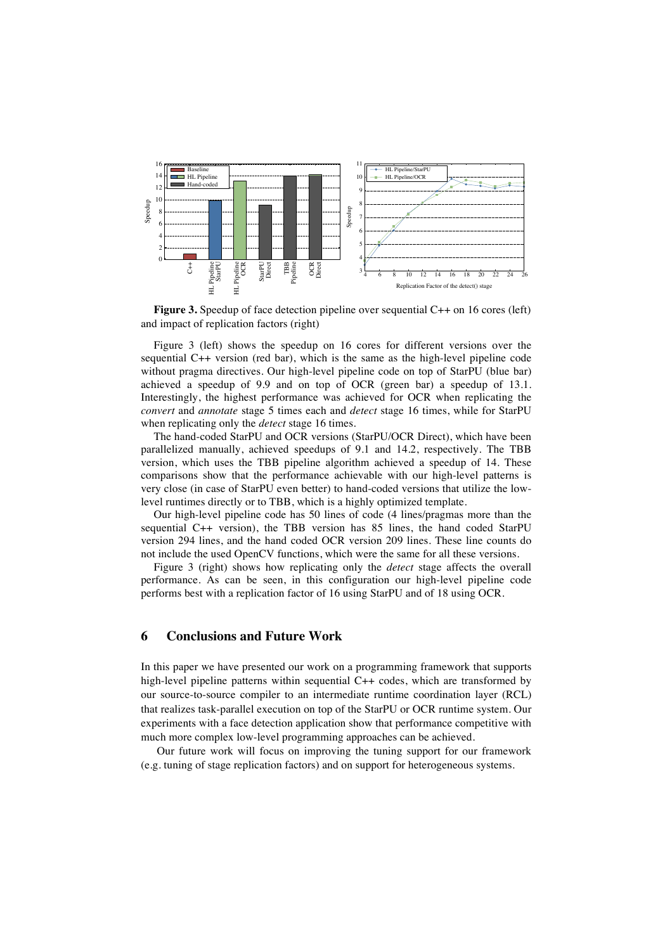

**Figure 3.** Speedup of face detection pipeline over sequential C++ on 16 cores (left) and impact of replication factors (right)

Figure 3 (left) shows the speedup on 16 cores for different versions over the sequential  $C_{++}$  version (red bar), which is the same as the high-level pipeline code without pragma directives. Our high-level pipeline code on top of StarPU (blue bar) achieved a speedup of 9.9 and on top of OCR (green bar) a speedup of 13.1. Interestingly, the highest performance was achieved for OCR when replicating the *convert* and *annotate* stage 5 times each and *detect* stage 16 times, while for StarPU when replicating only the *detect* stage 16 times.

The hand-coded StarPU and OCR versions (StarPU/OCR Direct), which have been parallelized manually, achieved speedups of 9.1 and 14.2, respectively. The TBB version, which uses the TBB pipeline algorithm achieved a speedup of 14. These comparisons show that the performance achievable with our high-level patterns is very close (in case of StarPU even better) to hand-coded versions that utilize the lowlevel runtimes directly or to TBB, which is a highly optimized template.

Our high-level pipeline code has 50 lines of code (4 lines/pragmas more than the sequential C++ version), the TBB version has 85 lines, the hand coded StarPU version 294 lines, and the hand coded OCR version 209 lines. These line counts do not include the used OpenCV functions, which were the same for all these versions.

Figure 3 (right) shows how replicating only the *detect* stage affects the overall performance. As can be seen, in this configuration our high-level pipeline code performs best with a replication factor of 16 using StarPU and of 18 using OCR.

## **6 Conclusions and Future Work**

In this paper we have presented our work on a programming framework that supports high-level pipeline patterns within sequential  $C++$  codes, which are transformed by our source-to-source compiler to an intermediate runtime coordination layer (RCL) that realizes task-parallel execution on top of the StarPU or OCR runtime system. Our experiments with a face detection application show that performance competitive with much more complex low-level programming approaches can be achieved.

Our future work will focus on improving the tuning support for our framework (e.g. tuning of stage replication factors) and on support for heterogeneous systems.